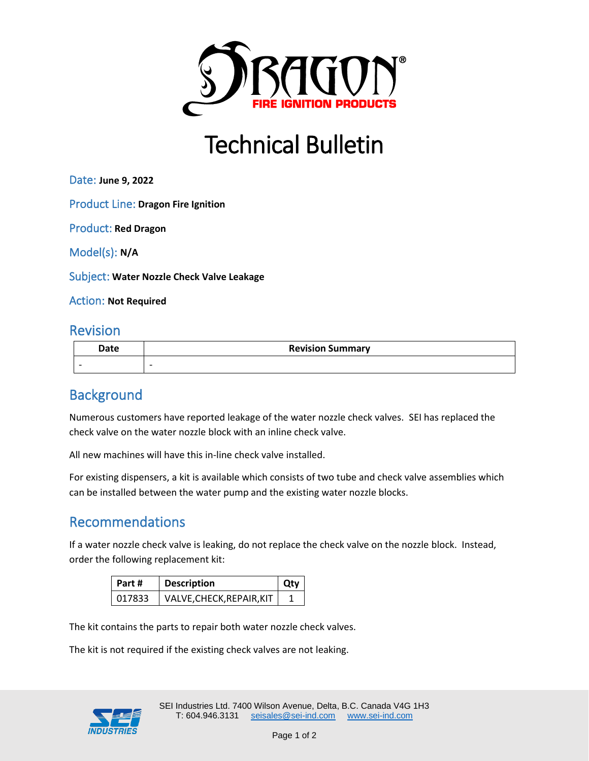

# Technical Bulletin

Date: **June 9, 2022**

Product Line: **Dragon Fire Ignition**

Product: **Red Dragon**

Model(s): **N/A**

Subject: **Water Nozzle Check Valve Leakage**

Action: **Not Required**

### Revision

| Date | <b>Revision Summary</b> |
|------|-------------------------|
|      |                         |

# **Background**

Numerous customers have reported leakage of the water nozzle check valves. SEI has replaced the check valve on the water nozzle block with an inline check valve.

All new machines will have this in-line check valve installed.

For existing dispensers, a kit is available which consists of two tube and check valve assemblies which can be installed between the water pump and the existing water nozzle blocks.

# Recommendations

If a water nozzle check valve is leaking, do not replace the check valve on the nozzle block. Instead, order the following replacement kit:

| Part # | <b>Description</b>        | Otv |
|--------|---------------------------|-----|
| 017833 | VALVE, CHECK, REPAIR, KIT |     |

The kit contains the parts to repair both water nozzle check valves.

The kit is not required if the existing check valves are not leaking.

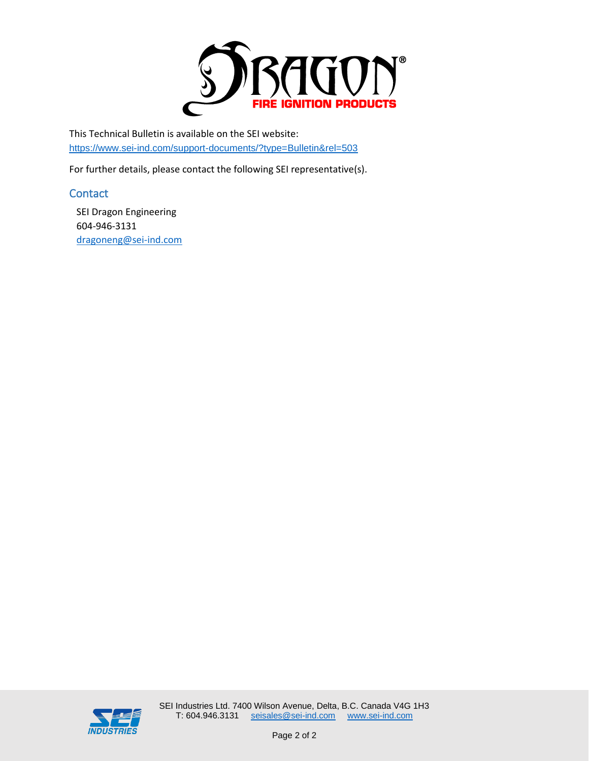

This Technical Bulletin is available on the SEI website: https://www.sei-ind.com/support-documents/?type=Bulletin&rel=503

For further details, please contact the following SEI representative(s).

#### **Contact**

SEI Dragon Engineering 604-946-3131 [dragoneng@sei-ind.com](mailto:dragoneng@sei-ind.com)

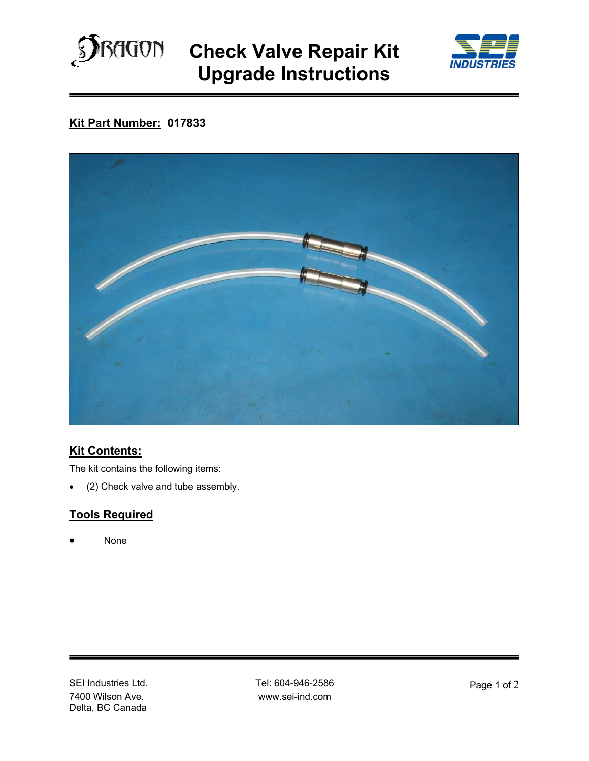

**Check Valve Repair Kit Upgrade Instructions** 



# **Kit Part Number: 017833**



### **Kit Contents:**

The kit contains the following items:

• (2) Check valve and tube assembly.

## **Tools Required**

None